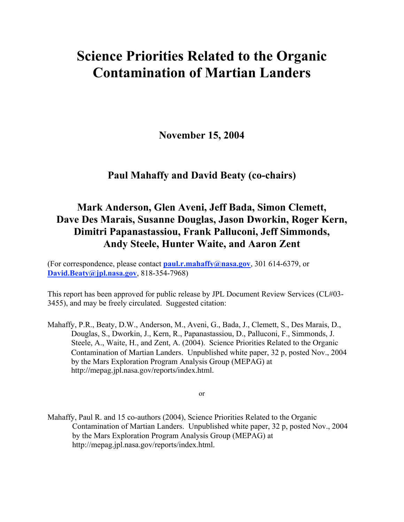# Science Priorities Related to the Organic Contamination of Martian Landers

November 15, 2004

# Paul Mahaffy and David Beaty (co-chairs)

# Mark Anderson, Glen Aveni, Jeff Bada, Simon Clemett, Dave Des Marais, Susanne Douglas, Jason Dworkin, Roger Kern, Dimitri Papanastassiou, Frank Palluconi, Jeff Simmonds, Andy Steele, Hunter Waite, and Aaron Zent

(For correspondence, please contact **paul.r.mahaffy@nasa.gov**, 301 614-6379, or David.Beaty@jpl.nasa.gov, 818-354-7968)

This report has been approved for public release by JPL Document Review Services (CL#03- 3455), and may be freely circulated. Suggested citation:

Mahaffy, P.R., Beaty, D.W., Anderson, M., Aveni, G., Bada, J., Clemett, S., Des Marais, D., Douglas, S., Dworkin, J., Kern, R., Papanastassiou, D., Palluconi, F., Simmonds, J. Steele, A., Waite, H., and Zent, A. (2004). Science Priorities Related to the Organic Contamination of Martian Landers. Unpublished white paper, 32 p, posted Nov., 2004 by the Mars Exploration Program Analysis Group (MEPAG) at http://mepag.jpl.nasa.gov/reports/index.html.

or

Mahaffy, Paul R. and 15 co-authors (2004), Science Priorities Related to the Organic Contamination of Martian Landers. Unpublished white paper, 32 p, posted Nov., 2004 by the Mars Exploration Program Analysis Group (MEPAG) at http://mepag.jpl.nasa.gov/reports/index.html.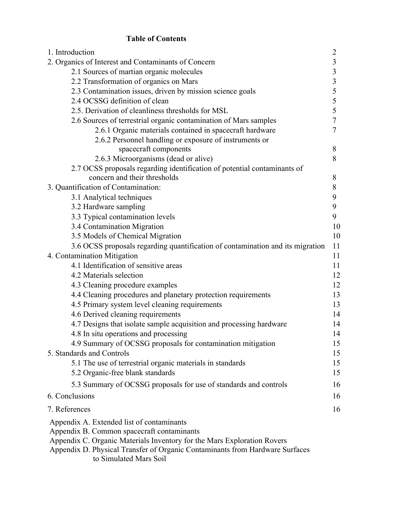# Table of Contents

| 1. Introduction                                                                | $\overline{2}$          |
|--------------------------------------------------------------------------------|-------------------------|
| 2. Organics of Interest and Contaminants of Concern                            | 3                       |
| 2.1 Sources of martian organic molecules                                       | $\overline{\mathbf{3}}$ |
| 2.2 Transformation of organics on Mars                                         | $\overline{\mathbf{3}}$ |
| 2.3 Contamination issues, driven by mission science goals                      | 5                       |
| 2.4 OCSSG definition of clean                                                  | 5                       |
| 2.5. Derivation of cleanliness thresholds for MSL                              | 5                       |
| 2.6 Sources of terrestrial organic contamination of Mars samples               | $\overline{7}$          |
| 2.6.1 Organic materials contained in spacecraft hardware                       | $\overline{7}$          |
| 2.6.2 Personnel handling or exposure of instruments or                         |                         |
| spacecraft components                                                          | 8                       |
| 2.6.3 Microorganisms (dead or alive)                                           | 8                       |
| 2.7 OCSS proposals regarding identification of potential contaminants of       |                         |
| concern and their thresholds                                                   | 8                       |
| 3. Quantification of Contamination:                                            | 8                       |
| 3.1 Analytical techniques                                                      | 9                       |
| 3.2 Hardware sampling                                                          | 9                       |
| 3.3 Typical contamination levels                                               | 9                       |
| 3.4 Contamination Migration                                                    | 10                      |
| 3.5 Models of Chemical Migration                                               | 10                      |
| 3.6 OCSS proposals regarding quantification of contamination and its migration | 11                      |
| 4. Contamination Mitigation                                                    | 11                      |
| 4.1 Identification of sensitive areas                                          | 11                      |
| 4.2 Materials selection                                                        | 12                      |
| 4.3 Cleaning procedure examples                                                | 12                      |
| 4.4 Cleaning procedures and planetary protection requirements                  | 13                      |
| 4.5 Primary system level cleaning requirements                                 | 13                      |
| 4.6 Derived cleaning requirements                                              | 14                      |
| 4.7 Designs that isolate sample acquisition and processing hardware            | 14                      |
| 4.8 In situ operations and processing                                          | 14                      |
| 4.9 Summary of OCSSG proposals for contamination mitigation                    | 15                      |
| 5. Standards and Controls                                                      | 15                      |
| 5.1 The use of terrestrial organic materials in standards                      | 15                      |
| 5.2 Organic-free blank standards                                               | 15                      |
| 5.3 Summary of OCSSG proposals for use of standards and controls               | 16                      |
| 6. Conclusions                                                                 | 16                      |
| 7. References                                                                  | 16                      |
| Appendix A. Extended list of contaminants                                      |                         |
| Appendix B. Common spacecraft contaminants                                     |                         |
| Appendix C. Organic Materials Inventory for the Mars Exploration Rovers        |                         |
| Appendix D. Physical Transfer of Organic Contaminants from Hardware Surfaces   |                         |

to Simulated Mars Soil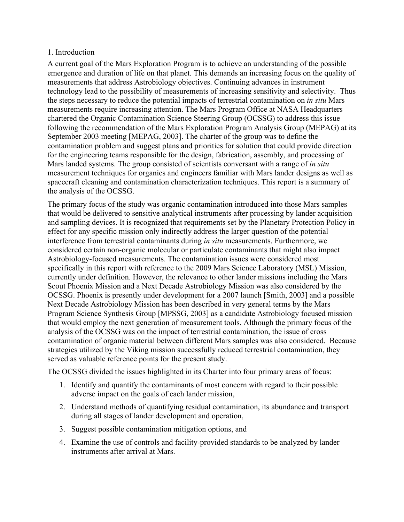#### 1. Introduction

A current goal of the Mars Exploration Program is to achieve an understanding of the possible emergence and duration of life on that planet. This demands an increasing focus on the quality of measurements that address Astrobiology objectives. Continuing advances in instrument technology lead to the possibility of measurements of increasing sensitivity and selectivity. Thus the steps necessary to reduce the potential impacts of terrestrial contamination on *in situ* Mars measurements require increasing attention. The Mars Program Office at NASA Headquarters chartered the Organic Contamination Science Steering Group (OCSSG) to address this issue following the recommendation of the Mars Exploration Program Analysis Group (MEPAG) at its September 2003 meeting [MEPAG, 2003]. The charter of the group was to define the contamination problem and suggest plans and priorities for solution that could provide direction for the engineering teams responsible for the design, fabrication, assembly, and processing of Mars landed systems. The group consisted of scientists conversant with a range of *in situ* measurement techniques for organics and engineers familiar with Mars lander designs as well as spacecraft cleaning and contamination characterization techniques. This report is a summary of the analysis of the OCSSG.

The primary focus of the study was organic contamination introduced into those Mars samples that would be delivered to sensitive analytical instruments after processing by lander acquisition and sampling devices. It is recognized that requirements set by the Planetary Protection Policy in effect for any specific mission only indirectly address the larger question of the potential interference from terrestrial contaminants during *in situ* measurements. Furthermore, we considered certain non-organic molecular or particulate contaminants that might also impact Astrobiology-focused measurements. The contamination issues were considered most specifically in this report with reference to the 2009 Mars Science Laboratory (MSL) Mission, currently under definition. However, the relevance to other lander missions including the Mars Scout Phoenix Mission and a Next Decade Astrobiology Mission was also considered by the OCSSG. Phoenix is presently under development for a 2007 launch [Smith, 2003] and a possible Next Decade Astrobiology Mission has been described in very general terms by the Mars Program Science Synthesis Group [MPSSG, 2003] as a candidate Astrobiology focused mission that would employ the next generation of measurement tools. Although the primary focus of the analysis of the OCSSG was on the impact of terrestrial contamination, the issue of cross contamination of organic material between different Mars samples was also considered. Because strategies utilized by the Viking mission successfully reduced terrestrial contamination, they served as valuable reference points for the present study.

The OCSSG divided the issues highlighted in its Charter into four primary areas of focus:

- 1. Identify and quantify the contaminants of most concern with regard to their possible adverse impact on the goals of each lander mission,
- 2. Understand methods of quantifying residual contamination, its abundance and transport during all stages of lander development and operation,
- 3. Suggest possible contamination mitigation options, and
- 4. Examine the use of controls and facility-provided standards to be analyzed by lander instruments after arrival at Mars.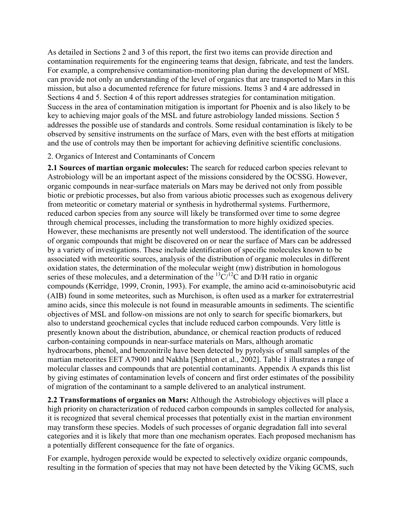As detailed in Sections 2 and 3 of this report, the first two items can provide direction and contamination requirements for the engineering teams that design, fabricate, and test the landers. For example, a comprehensive contamination-monitoring plan during the development of MSL can provide not only an understanding of the level of organics that are transported to Mars in this mission, but also a documented reference for future missions. Items 3 and 4 are addressed in Sections 4 and 5. Section 4 of this report addresses strategies for contamination mitigation. Success in the area of contamination mitigation is important for Phoenix and is also likely to be key to achieving major goals of the MSL and future astrobiology landed missions. Section 5 addresses the possible use of standards and controls. Some residual contamination is likely to be observed by sensitive instruments on the surface of Mars, even with the best efforts at mitigation and the use of controls may then be important for achieving definitive scientific conclusions.

#### 2. Organics of Interest and Contaminants of Concern

2.1 Sources of martian organic molecules: The search for reduced carbon species relevant to Astrobiology will be an important aspect of the missions considered by the OCSSG. However, organic compounds in near-surface materials on Mars may be derived not only from possible biotic or prebiotic processes, but also from various abiotic processes such as exogenous delivery from meteoritic or cometary material or synthesis in hydrothermal systems. Furthermore, reduced carbon species from any source will likely be transformed over time to some degree through chemical processes, including the transformation to more highly oxidized species. However, these mechanisms are presently not well understood. The identification of the source of organic compounds that might be discovered on or near the surface of Mars can be addressed by a variety of investigations. These include identification of specific molecules known to be associated with meteoritic sources, analysis of the distribution of organic molecules in different oxidation states, the determination of the molecular weight (mw) distribution in homologous series of these molecules, and a determination of the  ${}^{13}C/{}^{12}C$  and D/H ratio in organic compounds (Kerridge, 1999, Cronin, 1993). For example, the amino acid α-aminoisobutyric acid (AIB) found in some meteorites, such as Murchison, is often used as a marker for extraterrestrial amino acids, since this molecule is not found in measurable amounts in sediments. The scientific objectives of MSL and follow-on missions are not only to search for specific biomarkers, but also to understand geochemical cycles that include reduced carbon compounds. Very little is presently known about the distribution, abundance, or chemical reaction products of reduced carbon-containing compounds in near-surface materials on Mars, although aromatic hydrocarbons, phenol, and benzonitrile have been detected by pyrolysis of small samples of the martian meteorites EET A79001 and Nakhla [Sephton et al., 2002]. Table 1 illustrates a range of molecular classes and compounds that are potential contaminants. Appendix A expands this list by giving estimates of contamination levels of concern and first order estimates of the possibility of migration of the contaminant to a sample delivered to an analytical instrument.

2.2 Transformations of organics on Mars: Although the Astrobiology objectives will place a high priority on characterization of reduced carbon compounds in samples collected for analysis, it is recognized that several chemical processes that potentially exist in the martian environment may transform these species. Models of such processes of organic degradation fall into several categories and it is likely that more than one mechanism operates. Each proposed mechanism has a potentially different consequence for the fate of organics.

For example, hydrogen peroxide would be expected to selectively oxidize organic compounds, resulting in the formation of species that may not have been detected by the Viking GCMS, such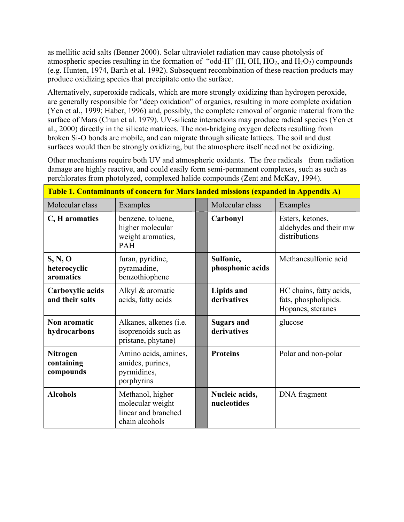as mellitic acid salts (Benner 2000). Solar ultraviolet radiation may cause photolysis of atmospheric species resulting in the formation of "odd-H"  $(H, OH, HO<sub>2</sub>, and H<sub>2</sub>O<sub>2</sub>)$  compounds (e.g. Hunten, 1974, Barth et al. 1992). Subsequent recombination of these reaction products may produce oxidizing species that precipitate onto the surface.

Alternatively, superoxide radicals, which are more strongly oxidizing than hydrogen peroxide, are generally responsible for "deep oxidation" of organics, resulting in more complete oxidation (Yen et al., 1999; Haber, 1996) and, possibly, the complete removal of organic material from the surface of Mars (Chun et al. 1979). UV-silicate interactions may produce radical species (Yen et al., 2000) directly in the silicate matrices. The non-bridging oxygen defects resulting from broken Si-O bonds are mobile, and can migrate through silicate lattices. The soil and dust surfaces would then be strongly oxidizing, but the atmosphere itself need not be oxidizing.

Other mechanisms require both UV and atmospheric oxidants. The free radicals from radiation damage are highly reactive, and could easily form semi-permanent complexes, such as such as perchlorates from photolyzed, complexed halide compounds (Zent and McKay, 1994).

| Table 1. Contaminants of concern for Mars landed missions (expanded in Appendix A) |                                                                               |  |                                  |                                                                      |  |  |  |
|------------------------------------------------------------------------------------|-------------------------------------------------------------------------------|--|----------------------------------|----------------------------------------------------------------------|--|--|--|
| Molecular class                                                                    | Examples                                                                      |  | Molecular class                  | Examples                                                             |  |  |  |
| C, H aromatics                                                                     | benzene, toluene,<br>higher molecular<br>weight aromatics,<br>PAH             |  | Carbonyl                         | Esters, ketones,<br>aldehydes and their mw<br>distributions          |  |  |  |
| S, N, O<br>heterocyclic<br>aromatics                                               | furan, pyridine,<br>pyramadine,<br>benzothiophene                             |  | Sulfonic,<br>phosphonic acids    | Methanesulfonic acid                                                 |  |  |  |
| Carboxylic acids<br>and their salts                                                | Alkyl & aromatic<br>acids, fatty acids                                        |  | Lipids and<br>derivatives        | HC chains, fatty acids,<br>fats, phospholipids.<br>Hopanes, steranes |  |  |  |
| Non aromatic<br>hydrocarbons                                                       | Alkanes, alkenes (i.e.<br>isoprenoids such as<br>pristane, phytane)           |  | <b>Sugars and</b><br>derivatives | glucose                                                              |  |  |  |
| <b>Nitrogen</b><br>containing<br>compounds                                         | Amino acids, amines,<br>amides, purines,<br>pyrmidines,<br>porphyrins         |  | <b>Proteins</b>                  | Polar and non-polar                                                  |  |  |  |
| <b>Alcohols</b>                                                                    | Methanol, higher<br>molecular weight<br>linear and branched<br>chain alcohols |  | Nucleic acids,<br>nucleotides    | DNA fragment                                                         |  |  |  |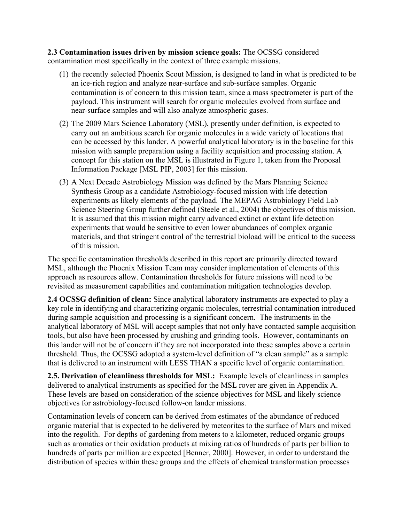2.3 Contamination issues driven by mission science goals: The OCSSG considered contamination most specifically in the context of three example missions.

- (1) the recently selected Phoenix Scout Mission, is designed to land in what is predicted to be an ice-rich region and analyze near-surface and sub-surface samples. Organic contamination is of concern to this mission team, since a mass spectrometer is part of the payload. This instrument will search for organic molecules evolved from surface and near-surface samples and will also analyze atmospheric gases.
- (2) The 2009 Mars Science Laboratory (MSL), presently under definition, is expected to carry out an ambitious search for organic molecules in a wide variety of locations that can be accessed by this lander. A powerful analytical laboratory is in the baseline for this mission with sample preparation using a facility acquisition and processing station. A concept for this station on the MSL is illustrated in Figure 1, taken from the Proposal Information Package [MSL PIP, 2003] for this mission.
- (3) A Next Decade Astrobiology Mission was defined by the Mars Planning Science Synthesis Group as a candidate Astrobiology-focused mission with life detection experiments as likely elements of the payload. The MEPAG Astrobiology Field Lab Science Steering Group further defined (Steele et al., 2004) the objectives of this mission. It is assumed that this mission might carry advanced extinct or extant life detection experiments that would be sensitive to even lower abundances of complex organic materials, and that stringent control of the terrestrial bioload will be critical to the success of this mission.

The specific contamination thresholds described in this report are primarily directed toward MSL, although the Phoenix Mission Team may consider implementation of elements of this approach as resources allow. Contamination thresholds for future missions will need to be revisited as measurement capabilities and contamination mitigation technologies develop.

2.4 OCSSG definition of clean: Since analytical laboratory instruments are expected to play a key role in identifying and characterizing organic molecules, terrestrial contamination introduced during sample acquisition and processing is a significant concern. The instruments in the analytical laboratory of MSL will accept samples that not only have contacted sample acquisition tools, but also have been processed by crushing and grinding tools. However, contaminants on this lander will not be of concern if they are not incorporated into these samples above a certain threshold. Thus, the OCSSG adopted a system-level definition of "a clean sample" as a sample that is delivered to an instrument with LESS THAN a specific level of organic contamination.

2.5. Derivation of cleanliness thresholds for MSL: Example levels of cleanliness in samples delivered to analytical instruments as specified for the MSL rover are given in Appendix A. These levels are based on consideration of the science objectives for MSL and likely science objectives for astrobiology-focused follow-on lander missions.

Contamination levels of concern can be derived from estimates of the abundance of reduced organic material that is expected to be delivered by meteorites to the surface of Mars and mixed into the regolith. For depths of gardening from meters to a kilometer, reduced organic groups such as aromatics or their oxidation products at mixing ratios of hundreds of parts per billion to hundreds of parts per million are expected [Benner, 2000]. However, in order to understand the distribution of species within these groups and the effects of chemical transformation processes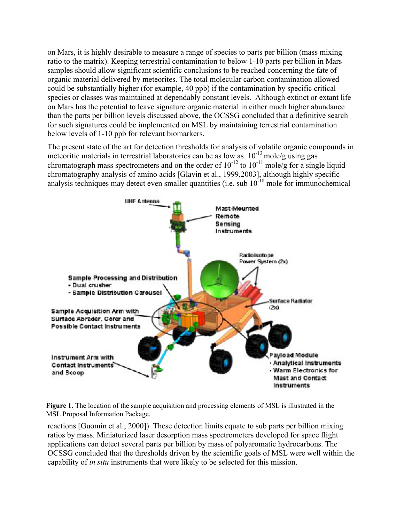on Mars, it is highly desirable to measure a range of species to parts per billion (mass mixing ratio to the matrix). Keeping terrestrial contamination to below 1-10 parts per billion in Mars samples should allow significant scientific conclusions to be reached concerning the fate of organic material delivered by meteorites. The total molecular carbon contamination allowed could be substantially higher (for example, 40 ppb) if the contamination by specific critical species or classes was maintained at dependably constant levels. Although extinct or extant life on Mars has the potential to leave signature organic material in either much higher abundance than the parts per billion levels discussed above, the OCSSG concluded that a definitive search for such signatures could be implemented on MSL by maintaining terrestrial contamination below levels of 1-10 ppb for relevant biomarkers.

The present state of the art for detection thresholds for analysis of volatile organic compounds in meteoritic materials in terrestrial laboratories can be as low as  $10^{-13}$  mole/g using gas chromatograph mass spectrometers and on the order of  $10^{-12}$  to  $10^{-11}$  mole/g for a single liquid chromatography analysis of amino acids [Glavin et al., 1999,2003], although highly specific analysis techniques may detect even smaller quantities (i.e. sub  $10^{-18}$  mole for immunochemical



Figure 1. The location of the sample acquisition and processing elements of MSL is illustrated in the MSL Proposal Information Package.

reactions [Guomin et al., 2000]). These detection limits equate to sub parts per billion mixing ratios by mass. Miniaturized laser desorption mass spectrometers developed for space flight applications can detect several parts per billion by mass of polyaromatic hydrocarbons. The OCSSG concluded that the thresholds driven by the scientific goals of MSL were well within the capability of *in situ* instruments that were likely to be selected for this mission.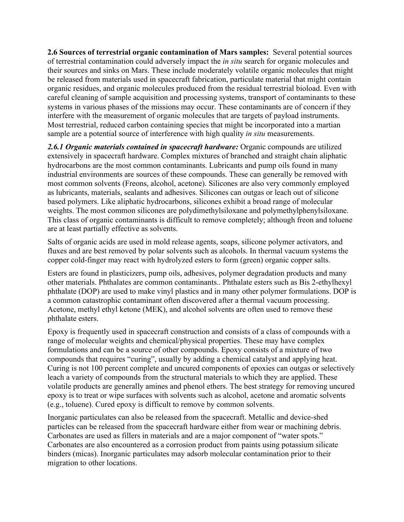2.6 Sources of terrestrial organic contamination of Mars samples: Several potential sources of terrestrial contamination could adversely impact the *in situ* search for organic molecules and their sources and sinks on Mars. These include moderately volatile organic molecules that might be released from materials used in spacecraft fabrication, particulate material that might contain organic residues, and organic molecules produced from the residual terrestrial bioload. Even with careful cleaning of sample acquisition and processing systems, transport of contaminants to these systems in various phases of the missions may occur. These contaminants are of concern if they interfere with the measurement of organic molecules that are targets of payload instruments. Most terrestrial, reduced carbon containing species that might be incorporated into a martian sample are a potential source of interference with high quality *in situ* measurements.

2.6.1 Organic materials contained in spacecraft hardware: Organic compounds are utilized extensively in spacecraft hardware. Complex mixtures of branched and straight chain aliphatic hydrocarbons are the most common contaminants. Lubricants and pump oils found in many industrial environments are sources of these compounds. These can generally be removed with most common solvents (Freons, alcohol, acetone). Silicones are also very commonly employed as lubricants, materials, sealants and adhesives. Silicones can outgas or leach out of silicone based polymers. Like aliphatic hydrocarbons, silicones exhibit a broad range of molecular weights. The most common silicones are polydimethylsiloxane and polymethylphenylsiloxane. This class of organic contaminants is difficult to remove completely; although freon and toluene are at least partially effective as solvents.

Salts of organic acids are used in mold release agents, soaps, silicone polymer activators, and fluxes and are best removed by polar solvents such as alcohols. In thermal vacuum systems the copper cold-finger may react with hydrolyzed esters to form (green) organic copper salts.

Esters are found in plasticizers, pump oils, adhesives, polymer degradation products and many other materials. Phthalates are common contaminants.. Phthalate esters such as Bis 2-ethylhexyl phthalate (DOP) are used to make vinyl plastics and in many other polymer formulations. DOP is a common catastrophic contaminant often discovered after a thermal vacuum processing. Acetone, methyl ethyl ketone (MEK), and alcohol solvents are often used to remove these phthalate esters.

Epoxy is frequently used in spacecraft construction and consists of a class of compounds with a range of molecular weights and chemical/physical properties. These may have complex formulations and can be a source of other compounds. Epoxy consists of a mixture of two compounds that requires "curing", usually by adding a chemical catalyst and applying heat. Curing is not 100 percent complete and uncured components of epoxies can outgas or selectively leach a variety of compounds from the structural materials to which they are applied. These volatile products are generally amines and phenol ethers. The best strategy for removing uncured epoxy is to treat or wipe surfaces with solvents such as alcohol, acetone and aromatic solvents (e.g., toluene). Cured epoxy is difficult to remove by common solvents.

Inorganic particulates can also be released from the spacecraft. Metallic and device-shed particles can be released from the spacecraft hardware either from wear or machining debris. Carbonates are used as fillers in materials and are a major component of "water spots." Carbonates are also encountered as a corrosion product from paints using potassium silicate binders (micas). Inorganic particulates may adsorb molecular contamination prior to their migration to other locations.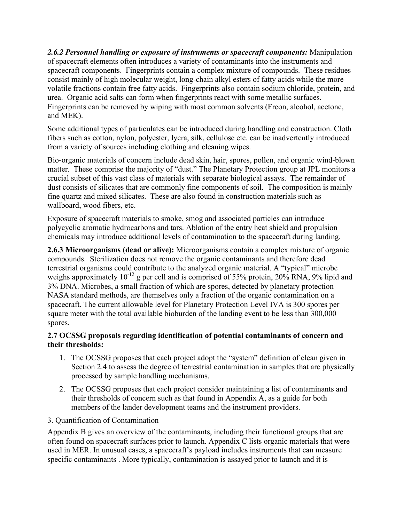*2.6.2 Personnel handling or exposure of instruments or spacecraft components:* Manipulation of spacecraft elements often introduces a variety of contaminants into the instruments and spacecraft components. Fingerprints contain a complex mixture of compounds. These residues consist mainly of high molecular weight, long-chain alkyl esters of fatty acids while the more volatile fractions contain free fatty acids. Fingerprints also contain sodium chloride, protein, and urea. Organic acid salts can form when fingerprints react with some metallic surfaces. Fingerprints can be removed by wiping with most common solvents (Freon, alcohol, acetone, and MEK).

Some additional types of particulates can be introduced during handling and construction. Cloth fibers such as cotton, nylon, polyester, lycra, silk, cellulose etc. can be inadvertently introduced from a variety of sources including clothing and cleaning wipes.

Bio-organic materials of concern include dead skin, hair, spores, pollen, and organic wind-blown matter. These comprise the majority of "dust." The Planetary Protection group at JPL monitors a crucial subset of this vast class of materials with separate biological assays. The remainder of dust consists of silicates that are commonly fine components of soil. The composition is mainly fine quartz and mixed silicates. These are also found in construction materials such as wallboard, wood fibers, etc.

Exposure of spacecraft materials to smoke, smog and associated particles can introduce polycyclic aromatic hydrocarbons and tars. Ablation of the entry heat shield and propulsion chemicals may introduce additional levels of contamination to the spacecraft during landing.

2.6.3 Microorganisms (dead or alive): Microorganisms contain a complex mixture of organic compounds. Sterilization does not remove the organic contaminants and therefore dead terrestrial organisms could contribute to the analyzed organic material. A "typical" microbe weighs approximately  $10^{-12}$  g per cell and is comprised of 55% protein, 20% RNA, 9% lipid and 3% DNA. Microbes, a small fraction of which are spores, detected by planetary protection NASA standard methods, are themselves only a fraction of the organic contamination on a spacecraft. The current allowable level for Planetary Protection Level IVA is 300 spores per square meter with the total available bioburden of the landing event to be less than 300,000 spores.

## 2.7 OCSSG proposals regarding identification of potential contaminants of concern and their thresholds:

- 1. The OCSSG proposes that each project adopt the "system" definition of clean given in Section 2.4 to assess the degree of terrestrial contamination in samples that are physically processed by sample handling mechanisms.
- 2. The OCSSG proposes that each project consider maintaining a list of contaminants and their thresholds of concern such as that found in Appendix A, as a guide for both members of the lander development teams and the instrument providers.
- 3. Quantification of Contamination

Appendix B gives an overview of the contaminants, including their functional groups that are often found on spacecraft surfaces prior to launch. Appendix C lists organic materials that were used in MER. In unusual cases, a spacecraft's payload includes instruments that can measure specific contaminants . More typically, contamination is assayed prior to launch and it is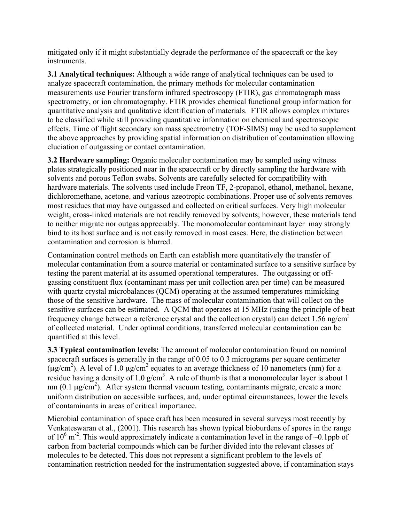mitigated only if it might substantially degrade the performance of the spacecraft or the key instruments.

3.1 Analytical techniques: Although a wide range of analytical techniques can be used to analyze spacecraft contamination, the primary methods for molecular contamination measurements use Fourier transform infrared spectroscopy (FTIR), gas chromatograph mass spectrometry, or ion chromatography. FTIR provides chemical functional group information for quantitative analysis and qualitative identification of materials. FTIR allows complex mixtures to be classified while still providing quantitative information on chemical and spectroscopic effects. Time of flight secondary ion mass spectrometry (TOF-SIMS) may be used to supplement the above approaches by providing spatial information on distribution of contamination allowing eluciation of outgassing or contact contamination.

3.2 Hardware sampling: Organic molecular contamination may be sampled using witness plates strategically positioned near in the spacecraft or by directly sampling the hardware with solvents and porous Teflon swabs. Solvents are carefully selected for compatibility with hardware materials. The solvents used include Freon TF, 2-propanol, ethanol, methanol, hexane, dichloromethane, acetone, and various azeotropic combinations. Proper use of solvents removes most residues that may have outgassed and collected on critical surfaces. Very high molecular weight, cross-linked materials are not readily removed by solvents; however, these materials tend to neither migrate nor outgas appreciably. The monomolecular contaminant layer may strongly bind to its host surface and is not easily removed in most cases. Here, the distinction between contamination and corrosion is blurred.

Contamination control methods on Earth can establish more quantitatively the transfer of molecular contamination from a source material or contaminated surface to a sensitive surface by testing the parent material at its assumed operational temperatures. The outgassing or offgassing constituent flux (contaminant mass per unit collection area per time) can be measured with quartz crystal microbalances (QCM) operating at the assumed temperatures mimicking those of the sensitive hardware. The mass of molecular contamination that will collect on the sensitive surfaces can be estimated. A QCM that operates at 15 MHz (using the principle of beat frequency change between a reference crystal and the collection crystal) can detect 1.56 ng/cm<sup>2</sup> of collected material. Under optimal conditions, transferred molecular contamination can be quantified at this level.

3.3 Typical contamination levels: The amount of molecular contamination found on nominal spacecraft surfaces is generally in the range of 0.05 to 0.3 micrograms per square centimeter  $(\mu$ g/cm<sup>2</sup>). A level of 1.0  $\mu$ g/cm<sup>2</sup> equates to an average thickness of 10 nanometers (nm) for a residue having a density of 1.0  $g/cm<sup>3</sup>$ . A rule of thumb is that a monomolecular layer is about 1 nm  $(0.1 \mu g/cm^2)$ . After system thermal vacuum testing, contaminants migrate, create a more uniform distribution on accessible surfaces, and, under optimal circumstances, lower the levels of contaminants in areas of critical importance.

Microbial contamination of space craft has been measured in several surveys most recently by Venkateswaran et al., (2001). This research has shown typical bioburdens of spores in the range of  $10^6$  m<sup>-2</sup>. This would approximately indicate a contamination level in the range of ~0.1ppb of carbon from bacterial compounds which can be further divided into the relevant classes of molecules to be detected. This does not represent a significant problem to the levels of contamination restriction needed for the instrumentation suggested above, if contamination stays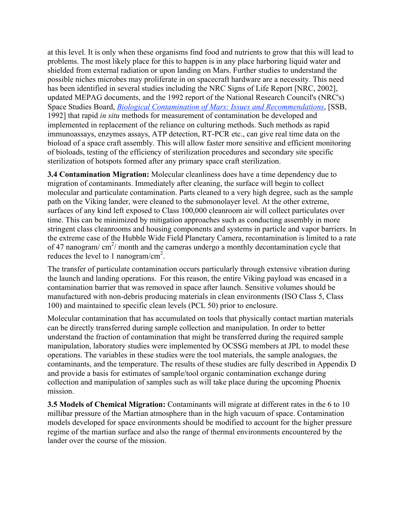at this level. It is only when these organisms find food and nutrients to grow that this will lead to problems. The most likely place for this to happen is in any place harboring liquid water and shielded from external radiation or upon landing on Mars. Further studies to understand the possible niches microbes may proliferate in on spacecraft hardware are a necessity. This need has been identified in several studies including the NRC Signs of Life Report [NRC, 2002], updated MEPAG documents, and the 1992 report of the National Research Council's (NRC's) Space Studies Board, *Biological Contamination of Mars: Issues and Recommendations*, [SSB, 1992] that rapid *in situ* methods for measurement of contamination be developed and implemented in replacement of the reliance on culturing methods. Such methods as rapid immunoassays, enzymes assays, ATP detection, RT-PCR etc., can give real time data on the bioload of a space craft assembly. This will allow faster more sensitive and efficient monitoring of bioloads, testing of the efficiency of sterilization procedures and secondary site specific sterilization of hotspots formed after any primary space craft sterilization.

3.4 Contamination Migration: Molecular cleanliness does have a time dependency due to migration of contaminants. Immediately after cleaning, the surface will begin to collect molecular and particulate contamination. Parts cleaned to a very high degree, such as the sample path on the Viking lander, were cleaned to the submonolayer level. At the other extreme, surfaces of any kind left exposed to Class 100,000 cleanroom air will collect particulates over time. This can be minimized by mitigation approaches such as conducting assembly in more stringent class cleanrooms and housing components and systems in particle and vapor barriers. In the extreme case of the Hubble Wide Field Planetary Camera, recontamination is limited to a rate of 47 nanogram/ $\text{cm}^2$ / month and the cameras undergo a monthly decontamination cycle that reduces the level to 1 nanogram/cm<sup>2</sup>.

The transfer of particulate contamination occurs particularly through extensive vibration during the launch and landing operations. For this reason, the entire Viking payload was encased in a contamination barrier that was removed in space after launch. Sensitive volumes should be manufactured with non-debris producing materials in clean environments (ISO Class 5, Class 100) and maintained to specific clean levels (PCL 50) prior to enclosure.

Molecular contamination that has accumulated on tools that physically contact martian materials can be directly transferred during sample collection and manipulation. In order to better understand the fraction of contamination that might be transferred during the required sample manipulation, laboratory studies were implemented by OCSSG members at JPL to model these operations. The variables in these studies were the tool materials, the sample analogues, the contaminants, and the temperature. The results of these studies are fully described in Appendix D and provide a basis for estimates of sample/tool organic contamination exchange during collection and manipulation of samples such as will take place during the upcoming Phoenix mission.

3.5 Models of Chemical Migration: Contaminants will migrate at different rates in the 6 to 10 millibar pressure of the Martian atmosphere than in the high vacuum of space. Contamination models developed for space environments should be modified to account for the higher pressure regime of the martian surface and also the range of thermal environments encountered by the lander over the course of the mission.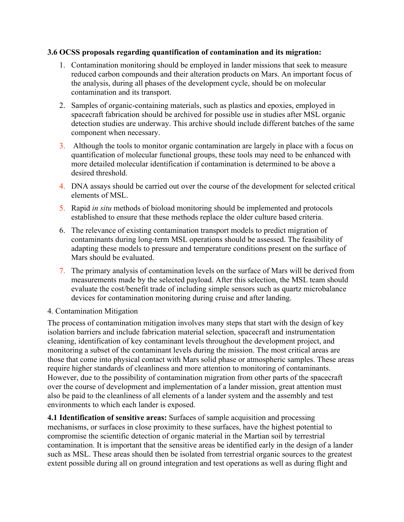#### 3.6 OCSS proposals regarding quantification of contamination and its migration:

- 1. Contamination monitoring should be employed in lander missions that seek to measure reduced carbon compounds and their alteration products on Mars. An important focus of the analysis, during all phases of the development cycle, should be on molecular contamination and its transport.
- 2. Samples of organic-containing materials, such as plastics and epoxies, employed in spacecraft fabrication should be archived for possible use in studies after MSL organic detection studies are underway. This archive should include different batches of the same component when necessary.
- 3. Although the tools to monitor organic contamination are largely in place with a focus on quantification of molecular functional groups, these tools may need to be enhanced with more detailed molecular identification if contamination is determined to be above a desired threshold.
- 4. DNA assays should be carried out over the course of the development for selected critical elements of MSL.
- 5. Rapid *in situ* methods of bioload monitoring should be implemented and protocols established to ensure that these methods replace the older culture based criteria.
- 6. The relevance of existing contamination transport models to predict migration of contaminants during long-term MSL operations should be assessed. The feasibility of adapting these models to pressure and temperature conditions present on the surface of Mars should be evaluated.
- 7. The primary analysis of contamination levels on the surface of Mars will be derived from measurements made by the selected payload. After this selection, the MSL team should evaluate the cost/benefit trade of including simple sensors such as quartz microbalance devices for contamination monitoring during cruise and after landing.

### 4. Contamination Mitigation

The process of contamination mitigation involves many steps that start with the design of key isolation barriers and include fabrication material selection, spacecraft and instrumentation cleaning, identification of key contaminant levels throughout the development project, and monitoring a subset of the contaminant levels during the mission. The most critical areas are those that come into physical contact with Mars solid phase or atmospheric samples. These areas require higher standards of cleanliness and more attention to monitoring of contaminants. However, due to the possibility of contamination migration from other parts of the spacecraft over the course of development and implementation of a lander mission, great attention must also be paid to the cleanliness of all elements of a lander system and the assembly and test environments to which each lander is exposed.

4.1 Identification of sensitive areas: Surfaces of sample acquisition and processing mechanisms, or surfaces in close proximity to these surfaces, have the highest potential to compromise the scientific detection of organic material in the Martian soil by terrestrial contamination. It is important that the sensitive areas be identified early in the design of a lander such as MSL. These areas should then be isolated from terrestrial organic sources to the greatest extent possible during all on ground integration and test operations as well as during flight and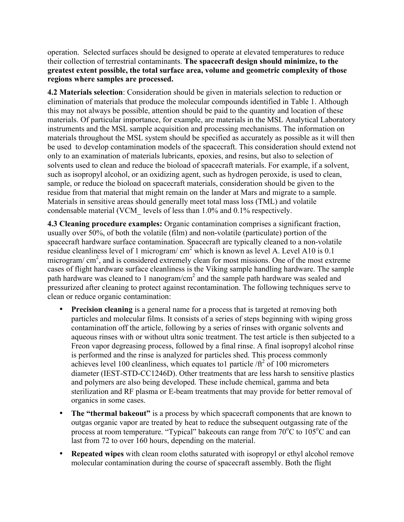operation. Selected surfaces should be designed to operate at elevated temperatures to reduce their collection of terrestrial contaminants. The spacecraft design should minimize, to the greatest extent possible, the total surface area, volume and geometric complexity of those regions where samples are processed.

4.2 Materials selection: Consideration should be given in materials selection to reduction or elimination of materials that produce the molecular compounds identified in Table 1. Although this may not always be possible, attention should be paid to the quantity and location of these materials. Of particular importance, for example, are materials in the MSL Analytical Laboratory instruments and the MSL sample acquisition and processing mechanisms. The information on materials throughout the MSL system should be specified as accurately as possible as it will then be used to develop contamination models of the spacecraft. This consideration should extend not only to an examination of materials lubricants, epoxies, and resins, but also to selection of solvents used to clean and reduce the bioload of spacecraft materials. For example, if a solvent, such as isopropyl alcohol, or an oxidizing agent, such as hydrogen peroxide, is used to clean, sample, or reduce the bioload on spacecraft materials, consideration should be given to the residue from that material that might remain on the lander at Mars and migrate to a sample. Materials in sensitive areas should generally meet total mass loss (TML) and volatile condensable material (VCM\_ levels of less than 1.0% and 0.1% respectively.

4.3 Cleaning procedure examples: Organic contamination comprises a significant fraction, usually over 50%, of both the volatile (film) and non-volatile (particulate) portion of the spacecraft hardware surface contamination. Spacecraft are typically cleaned to a non-volatile residue cleanliness level of 1 microgram/  $\text{cm}^2$  which is known as level A. Level A10 is 0.1 microgram/ $\text{cm}^2$ , and is considered extremely clean for most missions. One of the most extreme cases of flight hardware surface cleanliness is the Viking sample handling hardware. The sample path hardware was cleaned to 1 nanogram/ $cm<sup>2</sup>$  and the sample path hardware was sealed and pressurized after cleaning to protect against recontamination. The following techniques serve to clean or reduce organic contamination:

- Precision cleaning is a general name for a process that is targeted at removing both particles and molecular films. It consists of a series of steps beginning with wiping gross contamination off the article, following by a series of rinses with organic solvents and aqueous rinses with or without ultra sonic treatment. The test article is then subjected to a Freon vapor degreasing process, followed by a final rinse. A final isopropyl alcohol rinse is performed and the rinse is analyzed for particles shed. This process commonly achieves level 100 cleanliness, which equates to1 particle / $\text{ft}^2$  of 100 micrometers diameter (IEST-STD-CC1246D). Other treatments that are less harsh to sensitive plastics and polymers are also being developed. These include chemical, gamma and beta sterilization and RF plasma or E-beam treatments that may provide for better removal of organics in some cases.
- The "thermal bakeout" is a process by which spacecraft components that are known to outgas organic vapor are treated by heat to reduce the subsequent outgassing rate of the process at room temperature. "Typical" bakeouts can range from  $70^{\circ}$ C to  $105^{\circ}$ C and can last from 72 to over 160 hours, depending on the material.
- **Repeated wipes** with clean room cloths saturated with isopropyl or ethyl alcohol remove molecular contamination during the course of spacecraft assembly. Both the flight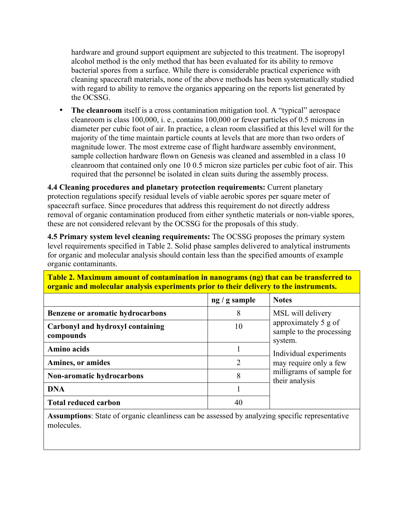hardware and ground support equipment are subjected to this treatment. The isopropyl alcohol method is the only method that has been evaluated for its ability to remove bacterial spores from a surface. While there is considerable practical experience with cleaning spacecraft materials, none of the above methods has been systematically studied with regard to ability to remove the organics appearing on the reports list generated by the OCSSG.

• The cleanroom itself is a cross contamination mitigation tool. A "typical" aerospace cleanroom is class 100,000, i. e., contains 100,000 or fewer particles of 0.5 microns in diameter per cubic foot of air. In practice, a clean room classified at this level will for the majority of the time maintain particle counts at levels that are more than two orders of magnitude lower. The most extreme case of flight hardware assembly environment, sample collection hardware flown on Genesis was cleaned and assembled in a class 10 cleanroom that contained only one 10 0.5 micron size particles per cubic foot of air. This required that the personnel be isolated in clean suits during the assembly process.

4.4 Cleaning procedures and planetary protection requirements: Current planetary protection regulations specify residual levels of viable aerobic spores per square meter of spacecraft surface. Since procedures that address this requirement do not directly address removal of organic contamination produced from either synthetic materials or non-viable spores, these are not considered relevant by the OCSSG for the proposals of this study.

4.5 Primary system level cleaning requirements: The OCSSG proposes the primary system level requirements specified in Table 2. Solid phase samples delivered to analytical instruments for organic and molecular analysis should contain less than the specified amounts of example organic contaminants.

|                                               | $ng/g$ sample | <b>Notes</b>                                                |
|-----------------------------------------------|---------------|-------------------------------------------------------------|
| <b>Benzene or aromatic hydrocarbons</b>       | 8             | MSL will delivery                                           |
| Carbonyl and hydroxyl containing<br>compounds | 10            | approximately 5 g of<br>sample to the processing<br>system. |
| <b>Amino acids</b>                            |               | Individual experiments                                      |
| Amines, or amides                             | 2             | may require only a few                                      |
| Non-aromatic hydrocarbons                     | 8             | milligrams of sample for<br>their analysis                  |
| <b>DNA</b>                                    |               |                                                             |
| <b>Total reduced carbon</b>                   | 40            |                                                             |

Table 2. Maximum amount of contamination in nanograms (ng) that can be transferred to organic and molecular analysis experiments prior to their delivery to the instruments.

Assumptions: State of organic cleanliness can be assessed by analyzing specific representative molecules.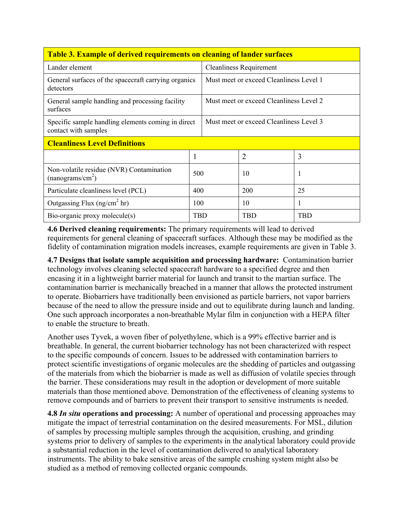| <b>Table 3. Example of derived requirements on cleaning of lander surfaces</b> |                                |                                         |                |            |  |  |
|--------------------------------------------------------------------------------|--------------------------------|-----------------------------------------|----------------|------------|--|--|
| Lander element                                                                 | <b>Cleanliness Requirement</b> |                                         |                |            |  |  |
| General surfaces of the spacecraft carrying organics<br>detectors              |                                | Must meet or exceed Cleanliness Level 1 |                |            |  |  |
| General sample handling and processing facility<br>surfaces                    |                                | Must meet or exceed Cleanliness Level 2 |                |            |  |  |
| Specific sample handling elements coming in direct<br>contact with samples     |                                | Must meet or exceed Cleanliness Level 3 |                |            |  |  |
| <b>Cleanliness Level Definitions</b>                                           |                                |                                         |                |            |  |  |
|                                                                                |                                |                                         | $\overline{2}$ | 3          |  |  |
| Non-volatile residue (NVR) Contamination<br>(nanograms/cm <sup>2</sup> )       | 500                            |                                         | 10             | 1          |  |  |
| Particulate cleanliness level (PCL)                                            | 400                            |                                         | 200            | 25         |  |  |
| Outgassing Flux ( $ng/cm2 hr$ )                                                | 100                            |                                         | 10             | 1          |  |  |
| Bio-organic proxy molecule(s)                                                  | TBD                            |                                         | <b>TBD</b>     | <b>TBD</b> |  |  |

## Table 3. Example of derived requirements on cleaning of lander surfaces

4.6 Derived cleaning requirements: The primary requirements will lead to derived requirements for general cleaning of spacecraft surfaces. Although these may be modified as the fidelity of contamination migration models increases, example requirements are given in Table 3.

4.7 Designs that isolate sample acquisition and processing hardware: Contamination barrier technology involves cleaning selected spacecraft hardware to a specified degree and then encasing it in a lightweight barrier material for launch and transit to the martian surface. The contamination barrier is mechanically breached in a manner that allows the protected instrument to operate. Biobarriers have traditionally been envisioned as particle barriers, not vapor barriers because of the need to allow the pressure inside and out to equilibrate during launch and landing. One such approach incorporates a non-breathable Mylar film in conjunction with a HEPA filter to enable the structure to breath.

Another uses Tyvek, a woven fiber of polyethylene, which is a 99% effective barrier and is breathable. In general, the current biobarrier technology has not been characterized with respect to the specific compounds of concern. Issues to be addressed with contamination barriers to protect scientific investigations of organic molecules are the shedding of particles and outgassing of the materials from which the biobarrier is made as well as diffusion of volatile species through the barrier. These considerations may result in the adoption or development of more suitable materials than those mentioned above. Demonstration of the effectiveness of cleaning systems to remove compounds and of barriers to prevent their transport to sensitive instruments is needed.

**4.8** *In situ* operations and processing: A number of operational and processing approaches may mitigate the impact of terrestrial contamination on the desired measurements. For MSL, dilution of samples by processing multiple samples through the acquisition, crushing, and grinding systems prior to delivery of samples to the experiments in the analytical laboratory could provide a substantial reduction in the level of contamination delivered to analytical laboratory instruments. The ability to bake sensitive areas of the sample crushing system might also be studied as a method of removing collected organic compounds.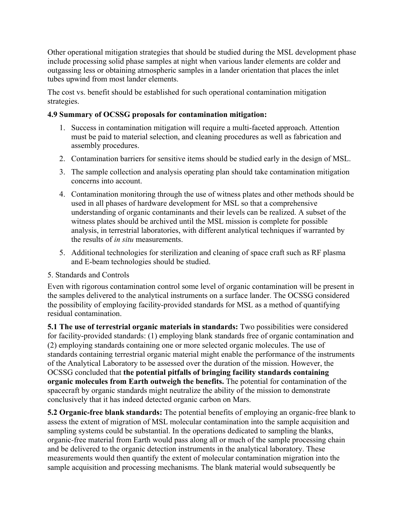Other operational mitigation strategies that should be studied during the MSL development phase include processing solid phase samples at night when various lander elements are colder and outgassing less or obtaining atmospheric samples in a lander orientation that places the inlet tubes upwind from most lander elements.

The cost vs. benefit should be established for such operational contamination mitigation strategies.

## 4.9 Summary of OCSSG proposals for contamination mitigation:

- 1. Success in contamination mitigation will require a multi-faceted approach. Attention must be paid to material selection, and cleaning procedures as well as fabrication and assembly procedures.
- 2. Contamination barriers for sensitive items should be studied early in the design of MSL.
- 3. The sample collection and analysis operating plan should take contamination mitigation concerns into account.
- 4. Contamination monitoring through the use of witness plates and other methods should be used in all phases of hardware development for MSL so that a comprehensive understanding of organic contaminants and their levels can be realized. A subset of the witness plates should be archived until the MSL mission is complete for possible analysis, in terrestrial laboratories, with different analytical techniques if warranted by the results of *in situ* measurements.
- 5. Additional technologies for sterilization and cleaning of space craft such as RF plasma and E-beam technologies should be studied.

### 5. Standards and Controls

Even with rigorous contamination control some level of organic contamination will be present in the samples delivered to the analytical instruments on a surface lander. The OCSSG considered the possibility of employing facility-provided standards for MSL as a method of quantifying residual contamination.

5.1 The use of terrestrial organic materials in standards: Two possibilities were considered for facility-provided standards: (1) employing blank standards free of organic contamination and (2) employing standards containing one or more selected organic molecules. The use of standards containing terrestrial organic material might enable the performance of the instruments of the Analytical Laboratory to be assessed over the duration of the mission. However, the OCSSG concluded that the potential pitfalls of bringing facility standards containing organic molecules from Earth outweigh the benefits. The potential for contamination of the spacecraft by organic standards might neutralize the ability of the mission to demonstrate conclusively that it has indeed detected organic carbon on Mars.

5.2 Organic-free blank standards: The potential benefits of employing an organic-free blank to assess the extent of migration of MSL molecular contamination into the sample acquisition and sampling systems could be substantial. In the operations dedicated to sampling the blanks, organic-free material from Earth would pass along all or much of the sample processing chain and be delivered to the organic detection instruments in the analytical laboratory. These measurements would then quantify the extent of molecular contamination migration into the sample acquisition and processing mechanisms. The blank material would subsequently be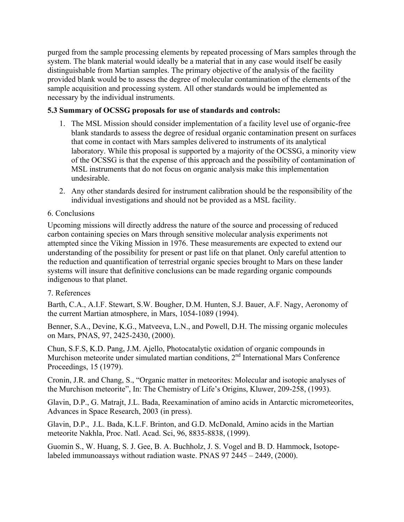purged from the sample processing elements by repeated processing of Mars samples through the system. The blank material would ideally be a material that in any case would itself be easily distinguishable from Martian samples. The primary objective of the analysis of the facility provided blank would be to assess the degree of molecular contamination of the elements of the sample acquisition and processing system. All other standards would be implemented as necessary by the individual instruments.

## 5.3 Summary of OCSSG proposals for use of standards and controls:

- 1. The MSL Mission should consider implementation of a facility level use of organic-free blank standards to assess the degree of residual organic contamination present on surfaces that come in contact with Mars samples delivered to instruments of its analytical laboratory. While this proposal is supported by a majority of the OCSSG, a minority view of the OCSSG is that the expense of this approach and the possibility of contamination of MSL instruments that do not focus on organic analysis make this implementation undesirable.
- 2. Any other standards desired for instrument calibration should be the responsibility of the individual investigations and should not be provided as a MSL facility.

### 6. Conclusions

Upcoming missions will directly address the nature of the source and processing of reduced carbon containing species on Mars through sensitive molecular analysis experiments not attempted since the Viking Mission in 1976. These measurements are expected to extend our understanding of the possibility for present or past life on that planet. Only careful attention to the reduction and quantification of terrestrial organic species brought to Mars on these lander systems will insure that definitive conclusions can be made regarding organic compounds indigenous to that planet.

#### 7. References

Barth, C.A., A.I.F. Stewart, S.W. Bougher, D.M. Hunten, S.J. Bauer, A.F. Nagy, Aeronomy of the current Martian atmosphere, in Mars, 1054-1089 (1994).

Benner, S.A., Devine, K.G., Matveeva, L.N., and Powell, D.H. The missing organic molecules on Mars, PNAS, 97, 2425-2430, (2000).

Chun, S.F.S, K.D. Pang, J.M. Ajello, Photocatalytic oxidation of organic compounds in Murchison meteorite under simulated martian conditions,  $2<sup>nd</sup>$  International Mars Conference Proceedings, 15 (1979).

Cronin, J.R. and Chang, S., "Organic matter in meteorites: Molecular and isotopic analyses of the Murchison meteorite", In: The Chemistry of Life's Origins, Kluwer, 209-258, (1993).

Glavin, D.P., G. Matrajt, J.L. Bada, Reexamination of amino acids in Antarctic micrometeorites, Advances in Space Research, 2003 (in press).

Glavin, D.P., J.L. Bada, K.L.F. Brinton, and G.D. McDonald, Amino acids in the Martian meteorite Nakhla, Proc. Natl. Acad. Sci, 96, 8835-8838, (1999).

Guomin S., W. Huang, S. J. Gee, B. A. Buchholz, J. S. Vogel and B. D. Hammock, Isotopelabeled immunoassays without radiation waste. PNAS 97 2445 – 2449, (2000).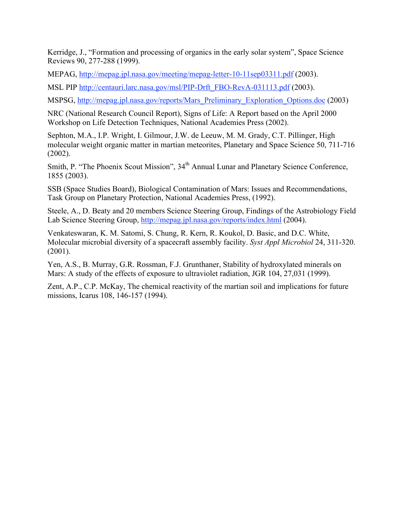Kerridge, J., "Formation and processing of organics in the early solar system", Space Science Reviews 90, 277-288 (1999).

MEPAG, http://mepag.jpl.nasa.gov/meeting/mepag-letter-10-11sep03311.pdf (2003).

MSL PIP http://centauri.larc.nasa.gov/msl/PIP-Drft\_FBO-RevA-031113.pdf (2003).

MSPSG, http://mepag.jpl.nasa.gov/reports/Mars\_Preliminary\_Exploration\_Options.doc (2003)

NRC (National Research Council Report), Signs of Life: A Report based on the April 2000 Workshop on Life Detection Techniques, National Academies Press (2002).

Sephton, M.A., I.P. Wright, I. Gilmour, J.W. de Leeuw, M. M. Grady, C.T. Pillinger, High molecular weight organic matter in martian meteorites, Planetary and Space Science 50, 711-716 (2002).

Smith, P. "The Phoenix Scout Mission", 34<sup>th</sup> Annual Lunar and Planetary Science Conference, 1855 (2003).

SSB (Space Studies Board), Biological Contamination of Mars: Issues and Recommendations, Task Group on Planetary Protection, National Academies Press, (1992).

Steele, A., D. Beaty and 20 members Science Steering Group, Findings of the Astrobiology Field Lab Science Steering Group, http://mepag.jpl.nasa.gov/reports/index.html (2004).

Venkateswaran, K. M. Satomi, S. Chung, R. Kern, R. Koukol, D. Basic, and D.C. White, Molecular microbial diversity of a spacecraft assembly facility. *Syst Appl Microbiol* 24, 311-320. (2001).

Yen, A.S., B. Murray, G.R. Rossman, F.J. Grunthaner, Stability of hydroxylated minerals on Mars: A study of the effects of exposure to ultraviolet radiation, JGR 104, 27,031 (1999).

Zent, A.P., C.P. McKay, The chemical reactivity of the martian soil and implications for future missions, Icarus 108, 146-157 (1994).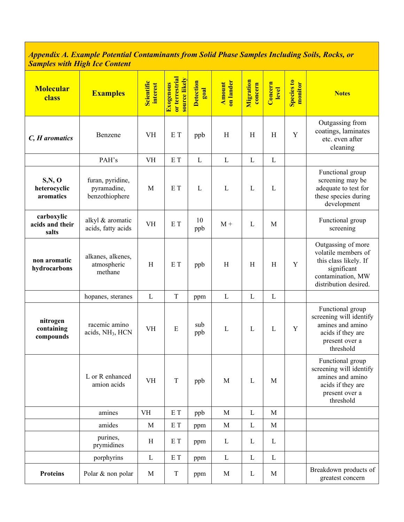#### *Appendix A. Example Potential Contaminants from Solid Phase Samples Including Soils, Rocks, or Samples with High Ice Content*

| <b>Molecular</b><br>class              | <b>Examples</b>                                   | Scientific<br>interest | or terrestrial<br>source likely<br>Exogenous | <b>Detection</b><br>$\frac{1}{2}$ | on lander<br><b>Amount</b> | Migration<br>concern | Concern<br>level | Species to<br>monitor | <b>Notes</b>                                                                                                                    |
|----------------------------------------|---------------------------------------------------|------------------------|----------------------------------------------|-----------------------------------|----------------------------|----------------------|------------------|-----------------------|---------------------------------------------------------------------------------------------------------------------------------|
| C, H aromatics                         | Benzene                                           | <b>VH</b>              | E T                                          | ppb                               | H                          | H                    | H                | Y                     | Outgassing from<br>coatings, laminates<br>etc. even after<br>cleaning                                                           |
|                                        | PAH's                                             | <b>VH</b>              | E T                                          | $\mathbf{L}$                      | L                          | L                    | $\mathbf{L}$     |                       |                                                                                                                                 |
| S, N, O<br>heterocyclic<br>aromatics   | furan, pyridine,<br>pyramadine,<br>benzothiophere | M                      | E T                                          | L                                 | L                          | L                    | $\mathbf{L}$     |                       | Functional group<br>screening may be<br>adequate to test for<br>these species during<br>development                             |
| carboxylic<br>acids and their<br>salts | alkyl & aromatic<br>acids, fatty acids            | <b>VH</b>              | E T                                          | 10<br>ppb                         | $M +$                      | L                    | M                |                       | Functional group<br>screening                                                                                                   |
| non aromatic<br>hydrocarbons           | alkanes, alkenes,<br>atmospheric<br>methane       | H                      | E T                                          | ppb                               | H                          | H                    | H                | Y                     | Outgassing of more<br>volatile members of<br>this class likely. If<br>significant<br>contamination, MW<br>distribution desired. |
|                                        | hopanes, steranes                                 | $\mathbf{L}$           | $\rm T$                                      | ppm                               | L                          | $\mathbf L$          | $\mathbf{L}$     |                       |                                                                                                                                 |
| nitrogen<br>containing<br>compounds    | racemic amino<br>acids, NH <sub>3</sub> , HCN     | <b>VH</b>              | E                                            | sub<br>ppb                        | $\mathbf L$                | L                    | $\mathbf L$      | Y                     | Functional group<br>screening will identify<br>amines and amino<br>acids if they are<br>present over a<br>threshold             |
|                                        | L or R enhanced<br>amion acids                    | <b>VH</b>              | $\mathbf T$                                  | ppb                               | M                          | L                    | M                |                       | Functional group<br>screening will identify<br>amines and amino<br>acids if they are<br>present over a<br>threshold             |
|                                        | amines                                            | <b>VH</b>              | $\mathop{\hbox{\bf E}}$ T                    | ppb                               | M                          | L                    | M                |                       |                                                                                                                                 |
|                                        | amides                                            | M                      | E T                                          | ppm                               | M                          | L                    | $\mathbf M$      |                       |                                                                                                                                 |
|                                        | purines,<br>prymidines                            | H                      | E T                                          | ppm                               | $\Gamma$                   | L                    | $\Gamma$         |                       |                                                                                                                                 |
|                                        | porphyrins                                        | L                      | $\mathop{\hbox{\bf E}}$ T                    | ppm                               | $\Gamma$                   | $\Gamma$             | $\mathbf L$      |                       |                                                                                                                                 |
| <b>Proteins</b>                        | Polar & non polar                                 | M                      | $\mathbf T$                                  | ppm                               | M                          | L                    | M                |                       | Breakdown products of<br>greatest concern                                                                                       |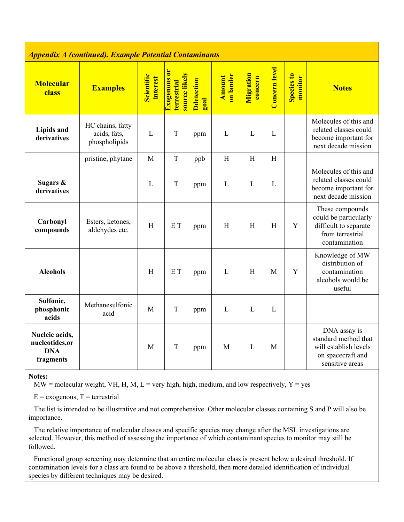| <b>Appendix A (continued). Example Potential Contaminants</b> |                                                   |                               |                                                     |                                     |                            |                      |                      |                       |                                                                                                        |
|---------------------------------------------------------------|---------------------------------------------------|-------------------------------|-----------------------------------------------------|-------------------------------------|----------------------------|----------------------|----------------------|-----------------------|--------------------------------------------------------------------------------------------------------|
| <b>Molecular</b><br>class                                     | <b>Examples</b>                                   | <b>Scientific</b><br>interest | Exogenous or<br>source likely<br><b>terrestrial</b> | <b>D</b> detection<br>$_{\rm goal}$ | on lander<br><b>Amount</b> | Migration<br>concern | <b>Concern</b> level | Species to<br>monitor | <b>Notes</b>                                                                                           |
| <b>Lipids and</b><br>derivatives                              | HC chains, fatty<br>acids, fats,<br>phospholipids | L                             | T                                                   | ppm                                 | L                          | L                    | L                    |                       | Molecules of this and<br>related classes could<br>become important for<br>next decade mission          |
|                                                               | pristine, phytane                                 | M                             | $\mathbf T$                                         | ppb                                 | H                          | H                    | $\mathbf H$          |                       |                                                                                                        |
| Sugars &<br>derivatives                                       |                                                   | L                             | $\overline{T}$                                      | ppm                                 | $\mathbf{L}$               | L                    | L                    |                       | Molecules of this and<br>related classes could<br>become important for<br>next decade mission          |
| Carbonyl<br>compounds                                         | Esters, ketones,<br>aldehydes etc.                | H                             | E T                                                 | ppm                                 | H                          | H                    | H                    | Y                     | These compounds<br>could be particularly<br>difficult to separate<br>from terrestrial<br>contamination |
| <b>Alcohols</b>                                               |                                                   | $\boldsymbol{\mathrm{H}}$     | E T                                                 | ppm                                 | L                          | H                    | M                    | Y                     | Knowledge of MW<br>distribution of<br>contamination<br>alcohols would be<br>useful                     |
| Sulfonic,<br>phosphonic<br>acids                              | Methanesulfonic<br>acid                           | M                             | $\mathbf T$                                         | ppm                                 | L                          | L                    | L                    |                       |                                                                                                        |
| Nucleic acids,<br>nucleotides,or<br><b>DNA</b><br>fragments   |                                                   | M                             | $\mathbf T$                                         | ppm                                 | M                          | L                    | M                    |                       | DNA assay is<br>standard method that<br>will establish levels<br>on spacecraft and<br>sensitive areas  |

#### *Appendix A (continued). Example Potential Contaminants*

Notes:

 $MW = molecular weight, VH, H, M, L = very high, high, medium, and low respectively, Y = yes$ 

 $E =$  exogenous,  $T =$  terrestrial

 The list is intended to be illustrative and not comprehensive. Other molecular classes containing S and P will also be importance.

 The relative importance of molecular classes and specific species may change after the MSL investigations are selected. However, this method of assessing the importance of which contaminant species to monitor may still be followed.

 Functional group screening may determine that an entire molecular class is present below a desired threshold. If contamination levels for a class are found to be above a threshold, then more detailed identification of individual species by different techniques may be desired.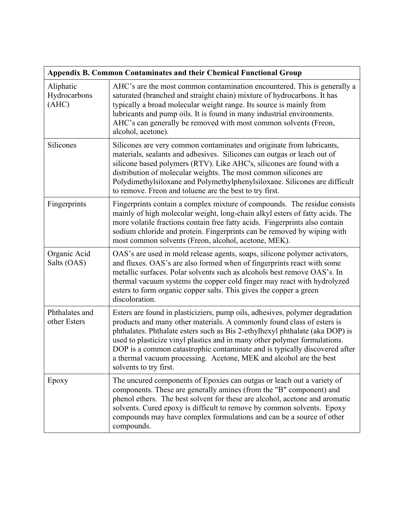|                                    | <b>Appendix B. Common Contaminates and their Chemical Functional Group</b>                                                                                                                                                                                                                                                                                                                                                                                                                        |
|------------------------------------|---------------------------------------------------------------------------------------------------------------------------------------------------------------------------------------------------------------------------------------------------------------------------------------------------------------------------------------------------------------------------------------------------------------------------------------------------------------------------------------------------|
| Aliphatic<br>Hydrocarbons<br>(AHC) | AHC's are the most common contamination encountered. This is generally a<br>saturated (branched and straight chain) mixture of hydrocarbons. It has<br>typically a broad molecular weight range. Its source is mainly from<br>lubricants and pump oils. It is found in many industrial environments.<br>AHC's can generally be removed with most common solvents (Freon,<br>alcohol, acetone).                                                                                                    |
| <b>Silicones</b>                   | Silicones are very common contaminates and originate from lubricants,<br>materials, sealants and adhesives. Silicones can outgas or leach out of<br>silicone based polymers (RTV). Like AHC's, silicones are found with a<br>distribution of molecular weights. The most common silicones are<br>Polydimethylsiloxane and Polymethylphenylsiloxane. Silicones are difficult<br>to remove. Freon and toluene are the best to try first.                                                            |
| Fingerprints                       | Fingerprints contain a complex mixture of compounds. The residue consists<br>mainly of high molecular weight, long-chain alkyl esters of fatty acids. The<br>more volatile fractions contain free fatty acids. Fingerprints also contain<br>sodium chloride and protein. Fingerprints can be removed by wiping with<br>most common solvents (Freon, alcohol, acetone, MEK).                                                                                                                       |
| Organic Acid<br>Salts (OAS)        | OAS's are used in mold release agents, soaps, silicone polymer activators,<br>and fluxes. OAS's are also formed when of fingerprints react with some<br>metallic surfaces. Polar solvents such as alcohols best remove OAS's. In<br>thermal vacuum systems the copper cold finger may react with hydrolyzed<br>esters to form organic copper salts. This gives the copper a green<br>discoloration.                                                                                               |
| Phthalates and<br>other Esters     | Esters are found in plasticiziers, pump oils, adhesives, polymer degradation<br>products and many other materials. A commonly found class of esters is<br>phthalates. Phthalate esters such as Bis 2-ethylhexyl phthalate (aka DOP) is<br>used to plasticize vinyl plastics and in many other polymer formulations.<br>DOP is a common catastrophic contaminate and is typically discovered after<br>a thermal vacuum processing. Acetone, MEK and alcohol are the best<br>solvents to try first. |
| Epoxy                              | The uncured components of Epoxies can outgas or leach out a variety of<br>components. These are generally amines (from the "B" component) and<br>phenol ethers. The best solvent for these are alcohol, acetone and aromatic<br>solvents. Cured epoxy is difficult to remove by common solvents. Epoxy<br>compounds may have complex formulations and can be a source of other<br>compounds.                                                                                                      |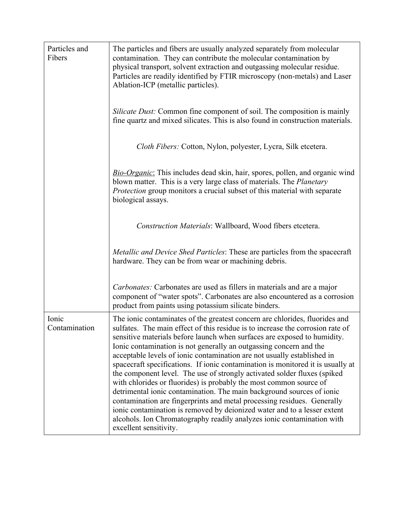| Particles and<br>Fibers | The particles and fibers are usually analyzed separately from molecular<br>contamination. They can contribute the molecular contamination by<br>physical transport, solvent extraction and outgassing molecular residue.<br>Particles are readily identified by FTIR microscopy (non-metals) and Laser<br>Ablation-ICP (metallic particles).                                                                                                                                                                                                                                                                                                                                                                                                                                                                                                                                                                                                                        |
|-------------------------|---------------------------------------------------------------------------------------------------------------------------------------------------------------------------------------------------------------------------------------------------------------------------------------------------------------------------------------------------------------------------------------------------------------------------------------------------------------------------------------------------------------------------------------------------------------------------------------------------------------------------------------------------------------------------------------------------------------------------------------------------------------------------------------------------------------------------------------------------------------------------------------------------------------------------------------------------------------------|
|                         | <i>Silicate Dust:</i> Common fine component of soil. The composition is mainly<br>fine quartz and mixed silicates. This is also found in construction materials.                                                                                                                                                                                                                                                                                                                                                                                                                                                                                                                                                                                                                                                                                                                                                                                                    |
|                         | Cloth Fibers: Cotton, Nylon, polyester, Lycra, Silk etcetera.                                                                                                                                                                                                                                                                                                                                                                                                                                                                                                                                                                                                                                                                                                                                                                                                                                                                                                       |
|                         | <b>Bio-Organic:</b> This includes dead skin, hair, spores, pollen, and organic wind<br>blown matter. This is a very large class of materials. The <i>Planetary</i><br><i>Protection</i> group monitors a crucial subset of this material with separate<br>biological assays.                                                                                                                                                                                                                                                                                                                                                                                                                                                                                                                                                                                                                                                                                        |
|                         | Construction Materials: Wallboard, Wood fibers etcetera.                                                                                                                                                                                                                                                                                                                                                                                                                                                                                                                                                                                                                                                                                                                                                                                                                                                                                                            |
|                         | Metallic and Device Shed Particles: These are particles from the spacecraft<br>hardware. They can be from wear or machining debris.                                                                                                                                                                                                                                                                                                                                                                                                                                                                                                                                                                                                                                                                                                                                                                                                                                 |
|                         | <i>Carbonates:</i> Carbonates are used as fillers in materials and are a major<br>component of "water spots". Carbonates are also encountered as a corrosion<br>product from paints using potassium silicate binders.                                                                                                                                                                                                                                                                                                                                                                                                                                                                                                                                                                                                                                                                                                                                               |
| Ionic<br>Contamination  | The ionic contaminates of the greatest concern are chlorides, fluorides and<br>sulfates. The main effect of this residue is to increase the corrosion rate of<br>sensitive materials before launch when surfaces are exposed to humidity.<br>Ionic contamination is not generally an outgassing concern and the<br>acceptable levels of ionic contamination are not usually established in<br>spacecraft specifications. If ionic contamination is monitored it is usually at<br>the component level. The use of strongly activated solder fluxes (spiked<br>with chlorides or fluorides) is probably the most common source of<br>detrimental ionic contamination. The main background sources of ionic<br>contamination are fingerprints and metal processing residues. Generally<br>ionic contamination is removed by deionized water and to a lesser extent<br>alcohols. Ion Chromatography readily analyzes ionic contamination with<br>excellent sensitivity. |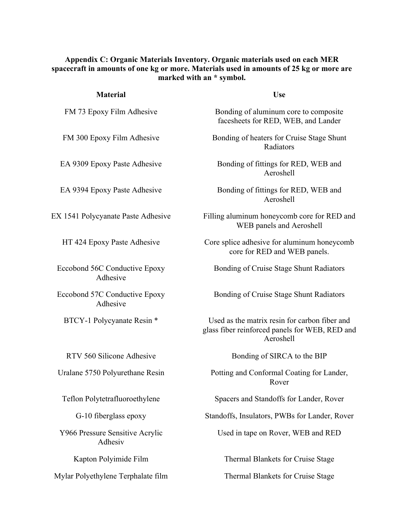#### Appendix C: Organic Materials Inventory. Organic materials used on each MER spacecraft in amounts of one kg or more. Materials used in amounts of 25 kg or more are marked with an \* symbol.

| <b>Use</b>                                                                                                   |
|--------------------------------------------------------------------------------------------------------------|
| Bonding of aluminum core to composite<br>facesheets for RED, WEB, and Lander                                 |
| Bonding of heaters for Cruise Stage Shunt<br>Radiators                                                       |
| Bonding of fittings for RED, WEB and<br>Aeroshell                                                            |
| Bonding of fittings for RED, WEB and<br>Aeroshell                                                            |
| Filling aluminum honeycomb core for RED and<br>WEB panels and Aeroshell                                      |
| Core splice adhesive for aluminum honeycomb<br>core for RED and WEB panels.                                  |
| Bonding of Cruise Stage Shunt Radiators                                                                      |
| Bonding of Cruise Stage Shunt Radiators                                                                      |
| Used as the matrix resin for carbon fiber and<br>glass fiber reinforced panels for WEB, RED and<br>Aeroshell |
| Bonding of SIRCA to the BIP                                                                                  |
| Potting and Conformal Coating for Lander,<br>Rover                                                           |
| Spacers and Standoffs for Lander, Rover                                                                      |
| Standoffs, Insulators, PWBs for Lander, Rover                                                                |
| Used in tape on Rover, WEB and RED                                                                           |
| <b>Thermal Blankets for Cruise Stage</b>                                                                     |
| Thermal Blankets for Cruise Stage                                                                            |
|                                                                                                              |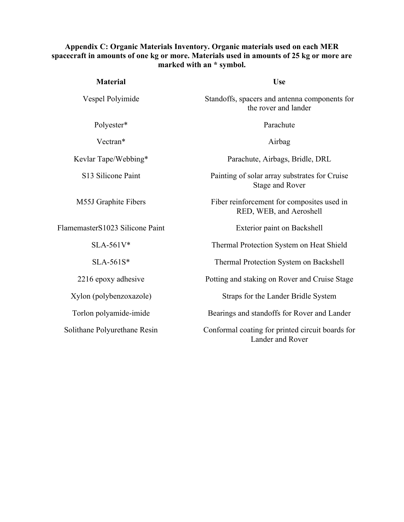#### Appendix C: Organic Materials Inventory. Organic materials used on each MER spacecraft in amounts of one kg or more. Materials used in amounts of 25 kg or more are marked with an \* symbol.

| <b>Material</b>                 | <b>Use</b>                                                            |
|---------------------------------|-----------------------------------------------------------------------|
| Vespel Polyimide                | Standoffs, spacers and antenna components for<br>the rover and lander |
| Polyester*                      | Parachute                                                             |
| Vectran*                        | Airbag                                                                |
| Kevlar Tape/Webbing*            | Parachute, Airbags, Bridle, DRL                                       |
| S13 Silicone Paint              | Painting of solar array substrates for Cruise<br>Stage and Rover      |
| M55J Graphite Fibers            | Fiber reinforcement for composites used in<br>RED, WEB, and Aeroshell |
| FlamemasterS1023 Silicone Paint | Exterior paint on Backshell                                           |
| $SLA-561V*$                     | Thermal Protection System on Heat Shield                              |
| $SLA-561S*$                     | Thermal Protection System on Backshell                                |
| 2216 epoxy adhesive             | Potting and staking on Rover and Cruise Stage                         |
| Xylon (polybenzoxazole)         | Straps for the Lander Bridle System                                   |
| Torlon polyamide-imide          | Bearings and standoffs for Rover and Lander                           |
| Solithane Polyurethane Resin    | Conformal coating for printed circuit boards for<br>Lander and Rover  |
|                                 |                                                                       |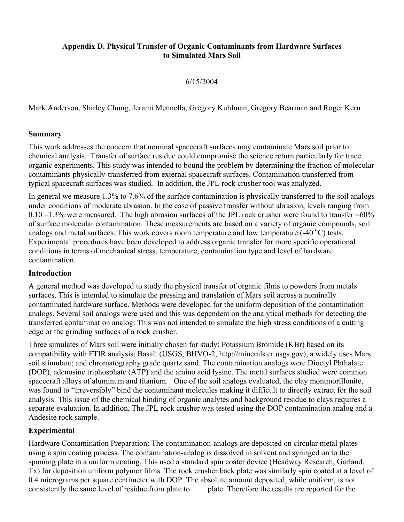#### Appendix D. Physical Transfer of Organic Contaminants from Hardware Surfaces to Simulated Mars Soil

6/15/2004

Mark Anderson, Shirley Chung, Jerami Mennella, Gregory Kuhlman, Gregory Bearman and Roger Kern

## Summary

This work addresses the concern that nominal spacecraft surfaces may contaminate Mars soil prior to chemical analysis. Transfer of surface residue could compromise the science return particularly for trace organic experiments. This study was intended to bound the problem by determining the fraction of molecular contaminants physically-transferred from external spacecraft surfaces. Contamination transferred from typical spacecraft surfaces was studied. In addition, the JPL rock crusher tool was analyzed.

In general we measure 1.3% to 7.6% of the surface contamination is physically transferred to the soil analogs under conditions of moderate abrasion. In the case of passive transfer without abrasion, levels ranging from 0.10 –1.3% were measured. The high abrasion surfaces of the JPL rock crusher were found to transfer  $~60\%$ of surface molecular contamination. These measurements are based on a variety of organic compounds, soil analogs and metal surfaces. This work covers room temperature and low temperature  $(-40 °C)$  tests. Experimental procedures have been developed to address organic transfer for more specific operational conditions in terms of mechanical stress, temperature, contamination type and level of hardware contamination.

### **Introduction**

A general method was developed to study the physical transfer of organic films to powders from metals surfaces. This is intended to simulate the pressing and translation of Mars soil across a nominally contaminated hardware surface. Methods were developed for the uniform deposition of the contamination analogs. Several soil analogs were used and this was dependent on the analytical methods for detecting the transferred contamination analog. This was not intended to simulate the high stress conditions of a cutting edge or the grinding surfaces of a rock crusher.

Three simulates of Mars soil were initially chosen for study: Potassium Bromide (KBr) based on its compatibility with FTIR analysis; Basalt (USGS, BHVO-2, http://minerals.cr.usgs.gov), a widely uses Mars soil stimulant; and chromatography grade quartz sand. The contamination analogs were Dioctyl Phthalate (DOP), adenosine triphosphate (ATP) and the amino acid lysine. The metal surfaces studied were common spacecraft alloys of aluminum and titanium. One of the soil analogs evaluated, the clay montmorillonite, was found to "irreversibly" bind the contaminant molecules making it difficult to directly extract for the soil analysis. This issue of the chemical binding of organic analytes and background residue to clays requires a separate evaluation. In addition, The JPL rock crusher was tested using the DOP contamination analog and a Andesite rock sample.

## Experimental

Hardware Contamination Preparation: The contamination-analogs are deposited on circular metal plates using a spin coating process. The contamination-analog is dissolved in solvent and syringed on to the spinning plate in a uniform coating. This used a standard spin coater device (Headway Research, Garland, Tx) for deposition uniform polymer films. The rock crusher back plate was similarly spin coated at a level of 0.4 micrograms per square centimeter with DOP. The absolute amount deposited, while uniform, is not consistently the same level of residue from plate to plate. Therefore the results are reported for the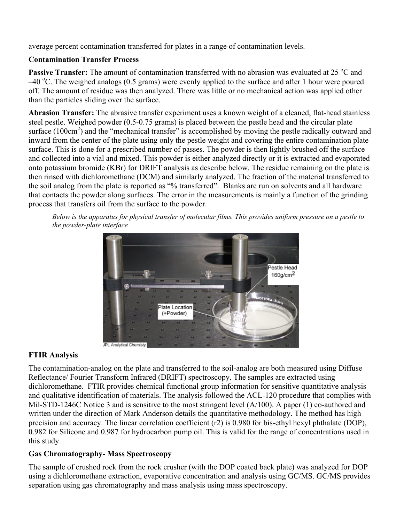average percent contamination transferred for plates in a range of contamination levels.

## Contamination Transfer Process

Passive Transfer: The amount of contamination transferred with no abrasion was evaluated at 25 °C and –40 °C. The weighed analogs (0.5 grams) were evenly applied to the surface and after 1 hour were poured off. The amount of residue was then analyzed. There was little or no mechanical action was applied other than the particles sliding over the surface.

Abrasion Transfer: The abrasive transfer experiment uses a known weight of a cleaned, flat-head stainless steel pestle. Weighed powder (0.5-0.75 grams) is placed between the pestle head and the circular plate surface  $(100 \text{cm}^2)$  and the "mechanical transfer" is accomplished by moving the pestle radically outward and inward from the center of the plate using only the pestle weight and covering the entire contamination plate surface. This is done for a prescribed number of passes. The powder is then lightly brushed off the surface and collected into a vial and mixed. This powder is either analyzed directly or it is extracted and evaporated onto potassium bromide (KBr) for DRIFT analysis as describe below. The residue remaining on the plate is then rinsed with dichloromethane (DCM) and similarly analyzed. The fraction of the material transferred to the soil analog from the plate is reported as "% transferred". Blanks are run on solvents and all hardware that contacts the powder along surfaces. The error in the measurements is mainly a function of the grinding process that transfers oil from the surface to the powder.

*Below is the apparatus for physical transfer of molecular films. This provides uniform pressure on a pestle to the powder-plate interface*



# FTIR Analysis

The contamination-analog on the plate and transferred to the soil-analog are both measured using Diffuse Reflectance/ Fourier Transform Infrared (DRIFT) spectroscopy. The samples are extracted using dichloromethane. FTIR provides chemical functional group information for sensitive quantitative analysis and qualitative identification of materials. The analysis followed the ACL-120 procedure that complies with Mil-STD-1246C Notice 3 and is sensitive to the most stringent level (A/100). A paper (1) co-authored and written under the direction of Mark Anderson details the quantitative methodology. The method has high precision and accuracy. The linear correlation coefficient (r2) is 0.980 for bis-ethyl hexyl phthalate (DOP), 0.982 for Silicone and 0.987 for hydrocarbon pump oil. This is valid for the range of concentrations used in this study.

## Gas Chromatography- Mass Spectroscopy

The sample of crushed rock from the rock crusher (with the DOP coated back plate) was analyzed for DOP using a dichloromethane extraction, evaporative concentration and analysis using GC/MS. GC/MS provides separation using gas chromatography and mass analysis using mass spectroscopy.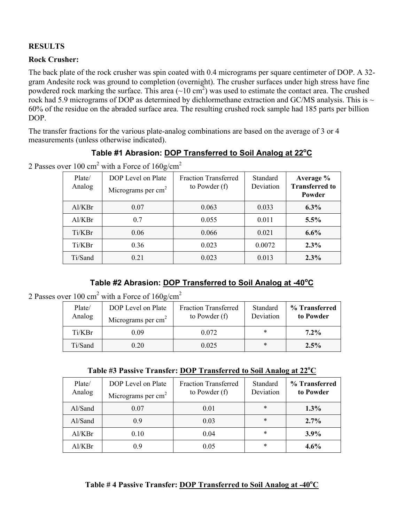## **RESULTS**

## Rock Crusher:

The back plate of the rock crusher was spin coated with 0.4 micrograms per square centimeter of DOP. A 32 gram Andesite rock was ground to completion (overnight). The crusher surfaces under high stress have fine powdered rock marking the surface. This area  $(\sim 10 \text{ cm}^2)$  was used to estimate the contact area. The crushed rock had 5.9 micrograms of DOP as determined by dichlormethane extraction and GC/MS analysis. This is  $\sim$ 60% of the residue on the abraded surface area. The resulting crushed rock sample had 185 parts per billion DOP.

The transfer fractions for the various plate-analog combinations are based on the average of 3 or 4 measurements (unless otherwise indicated).

| Plate/<br>Analog | DOP Level on Plate<br>Micrograms per $cm2$ | <b>Fraction Transferred</b><br>to Powder $(f)$ | Standard<br>Deviation | Average %<br><b>Transferred to</b><br>Powder |
|------------------|--------------------------------------------|------------------------------------------------|-----------------------|----------------------------------------------|
| Al/KBr           | 0.07                                       | 0.063                                          | 0.033                 | 6.3%                                         |
| Al/KBr           | 0.7                                        | 0.055                                          | 0.011                 | 5.5%                                         |
| Ti/KBr           | 0.06                                       | 0.066                                          | 0.021                 | $6.6\%$                                      |
| Ti/KBr           | 0.36                                       | 0.023                                          | 0.0072                | 2.3%                                         |
| Ti/Sand          | 0.21                                       | 0.023                                          | 0.013                 | $2.3\%$                                      |

|  | Table #1 Abrasion: DOP Transferred to Soil Analog at 22°C |  |  |  |
|--|-----------------------------------------------------------|--|--|--|
|  |                                                           |  |  |  |

2 Passes over 100 cm<sup>2</sup> with a Force of  $160$ g/cm<sup>2</sup>

## **Table #2 Abrasion: DOP Transferred to Soil Analog at -40<sup>o</sup> C**

2 Passes over 100 cm<sup>2</sup> with a Force of  $160$ g/cm<sup>2</sup>

| Plate/<br>Analog | DOP Level on Plate<br>Micrograms per $cm2$ | <b>Fraction Transferred</b><br>to Powder $(f)$ | Standard<br>Deviation | % Transferred<br>to Powder |
|------------------|--------------------------------------------|------------------------------------------------|-----------------------|----------------------------|
| Ti/KBr           | 0.09                                       | 0.072                                          | *                     | $7.2\%$                    |
| Ti/Sand          | 0.20                                       | 0.025                                          | *                     | 2.5%                       |

Table #3 Passive Transfer: **DOP Transferred to Soil Analog at 22<sup>o</sup>C** 

| Plate/<br>Analog | DOP Level on Plate<br>Micrograms per $cm2$ | <b>Fraction Transferred</b><br>to Powder $(f)$ | Standard<br>Deviation | % Transferred<br>to Powder |
|------------------|--------------------------------------------|------------------------------------------------|-----------------------|----------------------------|
| Al/Sand          | 0.07                                       | 0.01                                           | *                     | $1.3\%$                    |
| Al/Sand          | 0.9                                        | 0.03                                           | *                     | $2.7\%$                    |
| Al/KBr           | 0.10                                       | 0.04                                           | *                     | $3.9\%$                    |
| Al/KBr           | 0.9                                        | 0.05                                           | *                     | $4.6\%$                    |

## Table #4 Passive Transfer: **DOP Transferred to Soil Analog at -40°C**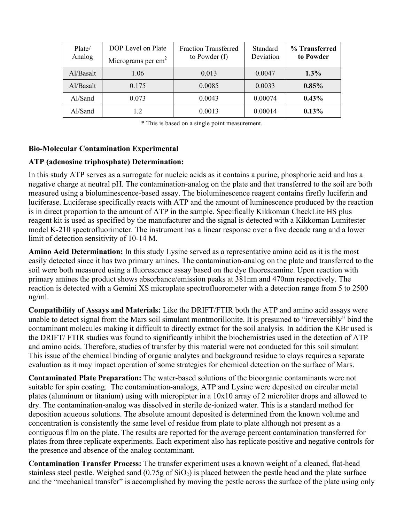| Plate/<br>Analog | DOP Level on Plate<br>Micrograms per $cm2$ | <b>Fraction Transferred</b><br>to Powder (f) | Standard<br>Deviation | % Transferred<br>to Powder |
|------------------|--------------------------------------------|----------------------------------------------|-----------------------|----------------------------|
| Al/Basalt        | 1.06                                       | 0.013                                        | 0.0047                | $1.3\%$                    |
| Al/Basalt        | 0.175                                      | 0.0085                                       | 0.0033                | 0.85%                      |
| Al/Sand          | 0.073                                      | 0.0043                                       | 0.00074               | 0.43%                      |
| Al/Sand          | 12                                         | 0.0013                                       | 0.00014               | 0.13%                      |

\* This is based on a single point measurement.

### Bio-Molecular Contamination Experimental

### ATP (adenosine triphosphate) Determination:

In this study ATP serves as a surrogate for nucleic acids as it contains a purine, phosphoric acid and has a negative charge at neutral pH. The contamination-analog on the plate and that transferred to the soil are both measured using a bioluminescence-based assay. The bioluminescence reagent contains firefly luciferin and luciferase. Luciferase specifically reacts with ATP and the amount of luminescence produced by the reaction is in direct proportion to the amount of ATP in the sample. Specifically Kikkoman CheckLite HS plus reagent kit is used as specified by the manufacturer and the signal is detected with a Kikkoman Lumitester model K-210 spectrofluorimeter. The instrument has a linear response over a five decade rang and a lower limit of detection sensitivity of 10-14 M.

Amino Acid Determination: In this study Lysine served as a representative amino acid as it is the most easily detected since it has two primary amines. The contamination-analog on the plate and transferred to the soil were both measured using a fluorescence assay based on the dye fluorescamine. Upon reaction with primary amines the product shows absorbance/emission peaks at 381nm and 470nm respectively. The reaction is detected with a Gemini XS microplate spectrofluorometer with a detection range from 5 to 2500 ng/ml.

Compatibility of Assays and Materials: Like the DRIFT/FTIR both the ATP and amino acid assays were unable to detect signal from the Mars soil simulant montmorillonite. It is presumed to "irreversibly" bind the contaminant molecules making it difficult to directly extract for the soil analysis. In addition the KBr used is the DRIFT/ FTIR studies was found to significantly inhibit the biochemistries used in the detection of ATP and amino acids. Therefore, studies of transfer by this material were not conducted for this soil simulant This issue of the chemical binding of organic analytes and background residue to clays requires a separate evaluation as it may impact operation of some strategies for chemical detection on the surface of Mars.

Contaminated Plate Preparation: The water-based solutions of the bioorganic contaminants were not suitable for spin coating. The contamination-analogs, ATP and Lysine were deposited on circular metal plates (aluminum or titanium) using with micropipter in a 10x10 array of 2 microliter drops and allowed to dry. The contamination-analog was dissolved in sterile de-ionized water. This is a standard method for deposition aqueous solutions. The absolute amount deposited is determined from the known volume and concentration is consistently the same level of residue from plate to plate although not present as a contiguous film on the plate. The results are reported for the average percent contamination transferred for plates from three replicate experiments. Each experiment also has replicate positive and negative controls for the presence and absence of the analog contaminant.

Contamination Transfer Process: The transfer experiment uses a known weight of a cleaned, flat-head stainless steel pestle. Weighed sand  $(0.75g \text{ of } SiO<sub>2</sub>)$  is placed between the pestle head and the plate surface and the "mechanical transfer" is accomplished by moving the pestle across the surface of the plate using only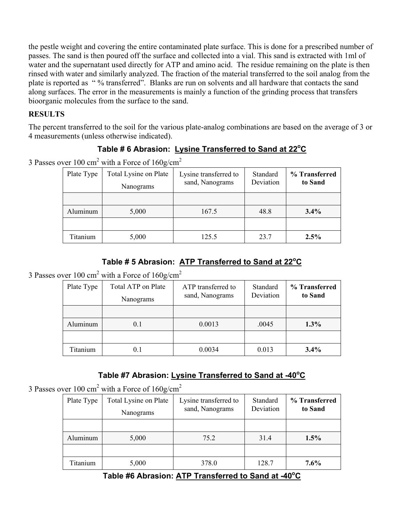the pestle weight and covering the entire contaminated plate surface. This is done for a prescribed number of passes. The sand is then poured off the surface and collected into a vial. This sand is extracted with 1ml of water and the supernatant used directly for ATP and amino acid. The residue remaining on the plate is then rinsed with water and similarly analyzed. The fraction of the material transferred to the soil analog from the plate is reported as " % transferred". Blanks are run on solvents and all hardware that contacts the sand along surfaces. The error in the measurements is mainly a function of the grinding process that transfers bioorganic molecules from the surface to the sand.

## **RESULTS**

The percent transferred to the soil for the various plate-analog combinations are based on the average of 3 or 4 measurements (unless otherwise indicated).

# Table # 6 Abrasion: Lysine Transferred to Sand at 22<sup>o</sup>C

3 Passes over 100 cm<sup>2</sup> with a Force of  $160$ g/cm<sup>2</sup>

| Plate Type | Total Lysine on Plate<br>Nanograms | Lysine transferred to<br>sand, Nanograms | Standard<br>Deviation | % Transferred<br>to Sand |
|------------|------------------------------------|------------------------------------------|-----------------------|--------------------------|
|            |                                    |                                          |                       |                          |
| Aluminum   | 5,000                              | 167.5                                    | 48.8                  | $3.4\%$                  |
|            |                                    |                                          |                       |                          |
| Titanium   | 5,000                              | 125.5                                    | 23.7                  | 2.5%                     |

# **Table # 5 Abrasion: ATP Transferred to Sand at 22<sup>o</sup> C**

3 Passes over 100 cm<sup>2</sup> with a Force of  $160$ g/cm<sup>2</sup>

| Plate Type | Total ATP on Plate<br>Nanograms | ATP transferred to<br>sand, Nanograms | Standard<br>Deviation | % Transferred<br>to Sand |
|------------|---------------------------------|---------------------------------------|-----------------------|--------------------------|
|            |                                 |                                       |                       |                          |
| Aluminum   | 0.1                             | 0.0013                                | .0045                 | $1.3\%$                  |
|            |                                 |                                       |                       |                          |
| Titanium   | 0.1                             | 0.0034                                | 0.013                 | $3.4\%$                  |

# Table #7 Abrasion: Lysine Transferred to Sand at -40<sup>o</sup>C

3 Passes over 100 cm<sup>2</sup> with a Force of  $160$ g/cm<sup>2</sup>

| Plate Type | Total Lysine on Plate<br>Nanograms | Lysine transferred to<br>sand, Nanograms | Standard<br>Deviation | % Transferred<br>to Sand |
|------------|------------------------------------|------------------------------------------|-----------------------|--------------------------|
|            |                                    |                                          |                       |                          |
| Aluminum   | 5,000                              | 75.2                                     | 31.4                  | 1.5%                     |
|            |                                    |                                          |                       |                          |
| Titanium   | 5,000                              | 378.0                                    | 128.7                 | $7.6\%$                  |

# Table #6 Abrasion: **ATP Transferred to Sand at -40°C**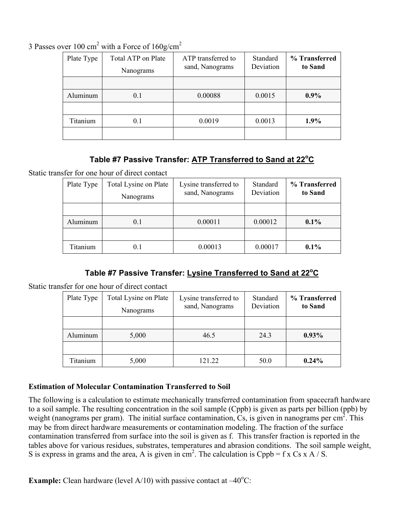3 Passes over 100 cm<sup>2</sup> with a Force of  $160$ g/cm<sup>2</sup>

| Plate Type | Total ATP on Plate<br>Nanograms | ATP transferred to<br>sand, Nanograms | Standard<br>Deviation | % Transferred<br>to Sand |
|------------|---------------------------------|---------------------------------------|-----------------------|--------------------------|
|            |                                 |                                       |                       |                          |
| Aluminum   | 0.1                             | 0.00088                               | 0.0015                | $0.9\%$                  |
|            |                                 |                                       |                       |                          |
| Titanium   | 0.1                             | 0.0019                                | 0.0013                | $1.9\%$                  |
|            |                                 |                                       |                       |                          |

# **Table #7 Passive Transfer: ATP Transferred to Sand at 22<sup>o</sup> C**

Static transfer for one hour of direct contact

| Plate Type | Total Lysine on Plate<br>Nanograms | Lysine transferred to<br>sand, Nanograms | Standard<br>Deviation | % Transferred<br>to Sand |
|------------|------------------------------------|------------------------------------------|-----------------------|--------------------------|
|            |                                    |                                          |                       |                          |
| Aluminum   | 0.1                                | 0.00011                                  | 0.00012               | $0.1\%$                  |
|            |                                    |                                          |                       |                          |
| Titanium   | 0.1                                | 0.00013                                  | 0.00017               | $0.1\%$                  |

# **Table #7 Passive Transfer: Lysine Transferred to Sand at 22<sup>o</sup> C**

Static transfer for one hour of direct contact

| Plate Type | Total Lysine on Plate<br>Nanograms | Lysine transferred to<br>sand, Nanograms | Standard<br>Deviation | % Transferred<br>to Sand |
|------------|------------------------------------|------------------------------------------|-----------------------|--------------------------|
|            |                                    |                                          |                       |                          |
| Aluminum   | 5,000                              | 46.5                                     | 24.3                  | $0.93\%$                 |
|            |                                    |                                          |                       |                          |
| Titanium   | 5,000                              | 121 22                                   | 50.0                  | $0.24\%$                 |

## Estimation of Molecular Contamination Transferred to Soil

The following is a calculation to estimate mechanically transferred contamination from spacecraft hardware to a soil sample. The resulting concentration in the soil sample (Cppb) is given as parts per billion (ppb) by weight (nanograms per gram). The initial surface contamination,  $\overline{C}$ s, is given in nanograms per cm<sup>2</sup>. This may be from direct hardware measurements or contamination modeling. The fraction of the surface contamination transferred from surface into the soil is given as f. This transfer fraction is reported in the tables above for various residues, substrates, temperatures and abrasion conditions. The soil sample weight, S is express in grams and the area, A is given in cm<sup>2</sup>. The calculation is Cppb = f x Cs x A / S.

**Example:** Clean hardware (level  $A/10$ ) with passive contact at  $-40^{\circ}$ C: